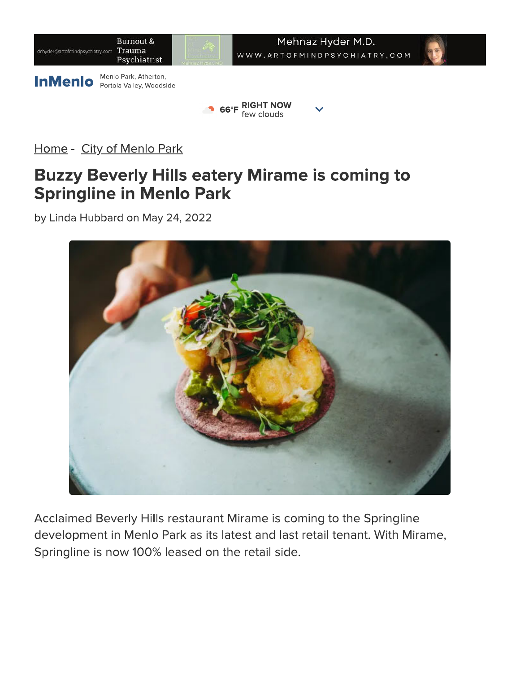

Home - City of Menlo Park

### **Buzzy Beverly Hills eatery Mirame is coming to Springline in Menlo Park**

by Linda Hubbard on May 24, 2022



Acclaimed Beverly Hills restaurant Mirame is coming to the Springline development in Menlo Park as its latest and last retail tenant. With Mirame, Springline is now 100% leased on the retail side.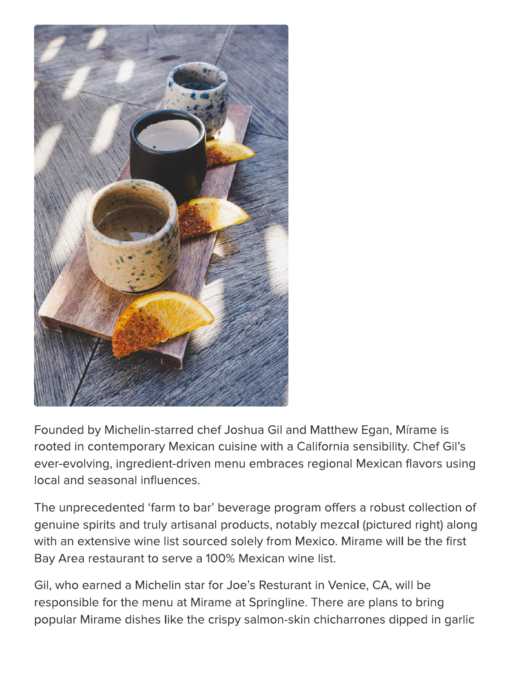

Founded by Michelin-starred chef Joshua Gil and Matthew Egan, Mirame is rooted in contemporary Mexican cuisine with a California sensibility. Chef Gil's ever-evolving, ingredient-driven menu embraces regional Mexican flavors using local and seasonal influences.

The unprecedented 'farm to bar' beverage program offers a robust collection of genuine spirits and truly artisanal products, notably mezcal (pictured right) along with an extensive wine list sourced solely from Mexico. Mirame will be the first Bay Area restaurant to serve a 100% Mexican wine list.

Gil, who earned a Michelin star for Joe's Resturant in Venice, CA, will be responsible for the menu at Mirame at Springline. There are plans to bring popular Mirame dishes like the crispy salmon-skin chicharrones dipped in garlic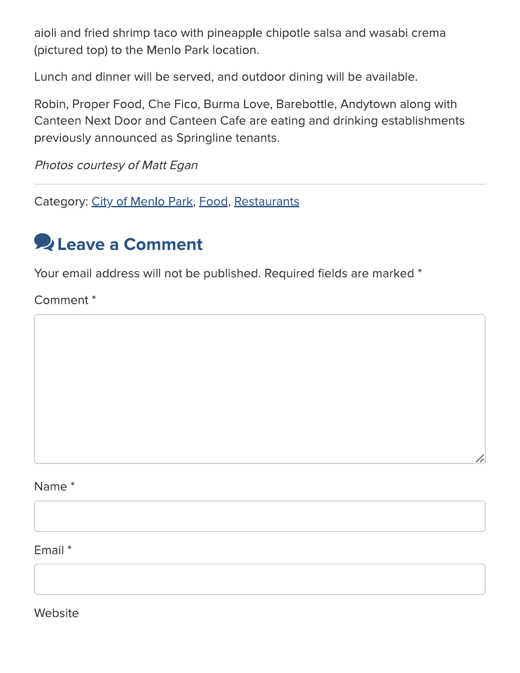aioli and fried shrimp taco with pineapple chipotle salsa and wasabi crema (pictured top) to the Menlo Park location.

Lunch and dinner will be served, and outdoor dining will be available.

Robin, Proper Food, Che Fico, Burma Love, Barebottle, Andytown along with Canteen Next Door and Canteen Cafe are eating and drinking establishments previously announced as Springline tenants.

Photos courtesy of Matt Egan

Category: City of Menlo Park, Food, Restaurants

## **Q** Leave a Comment

Your email address will not be published. Required fields are marked \*

Comment<sup>\*</sup>

#### Name<sup>\*</sup>

Email \*

Website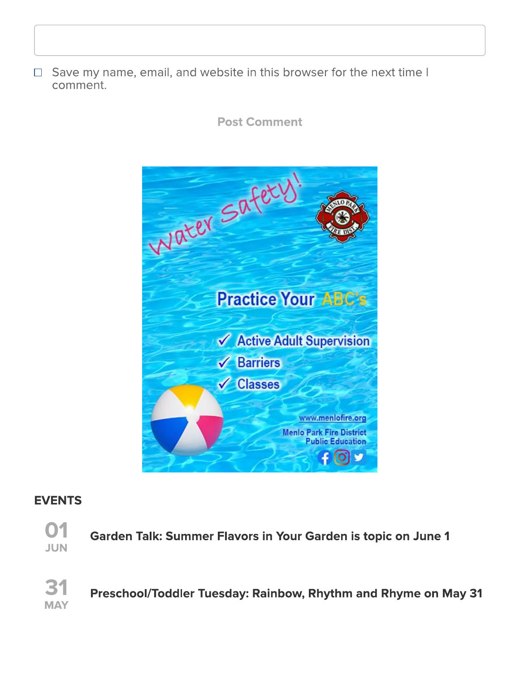□ Save my name, email, and website in this browser for the next time I comment.

**Post Comment** 



#### **EVENTS**



Garden Talk: Summer Flavors in Your Garden is topic on June 1

 $\mathbf{B}'$ **MAY** 

Preschool/Toddler Tuesday: Rainbow, Rhythm and Rhyme on May 31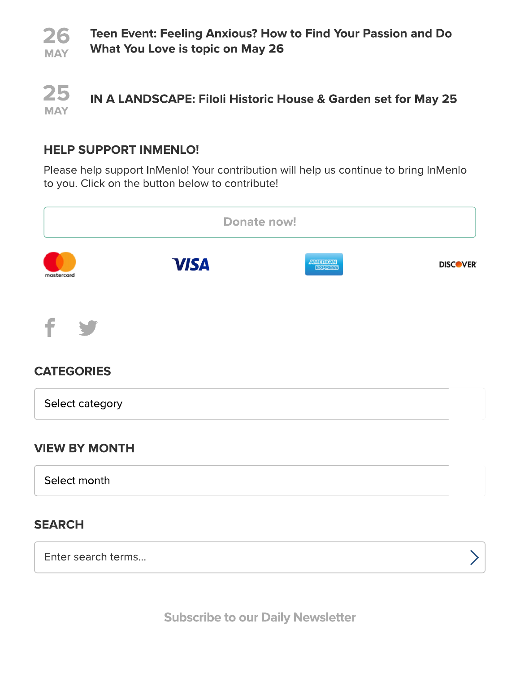

25 IN A LANDSCAPE: Filoli Historic House & Garden set for May 25 **MAY** 

#### **HELP SUPPORT INMENLO!**

Please help support InMenlo! Your contribution will help us continue to bring InMenlo to you. Click on the button below to contribute!



**Subscribe to our Daily Newsletter**